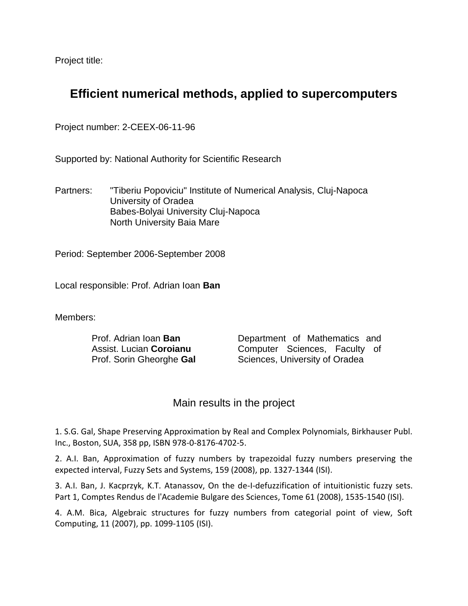Project title:

## **Efficient numerical methods, applied to supercomputers**

Project number: 2-CEEX-06-11-96

Supported by: National Authority for Scientific Research

Partners: "Tiberiu Popoviciu" Institute of Numerical Analysis, Cluj-Napoca University of Oradea Babes-Bolyai University Cluj-Napoca North University Baia Mare

Period: September 2006-September 2008

Local responsible: Prof. Adrian Ioan **Ban**

Members:

Prof. Adrian Ioan **Ban** Assist. Lucian **Coroianu** Prof. Sorin Gheorghe **Gal** Department of Mathematics and Computer Sciences, Faculty of Sciences, University of Oradea

## Main results in the project

1. S.G. Gal, Shape Preserving Approximation by Real and Complex Polynomials, Birkhauser Publ. Inc., Boston, SUA, 358 pp, ISBN 978-0-8176-4702-5.

2. A.I. Ban, Approximation of fuzzy numbers by trapezoidal fuzzy numbers preserving the expected interval, Fuzzy Sets and Systems, 159 (2008), pp. 1327-1344 (ISI).

3. A.I. Ban, J. Kacprzyk, K.T. Atanassov, On the de-I-defuzzification of intuitionistic fuzzy sets. Part 1, Comptes Rendus de l'Academie Bulgare des Sciences, Tome 61 (2008), 1535-1540 (ISI).

4. A.M. Bica, Algebraic structures for fuzzy numbers from categorial point of view, Soft Computing, 11 (2007), pp. 1099-1105 (ISI).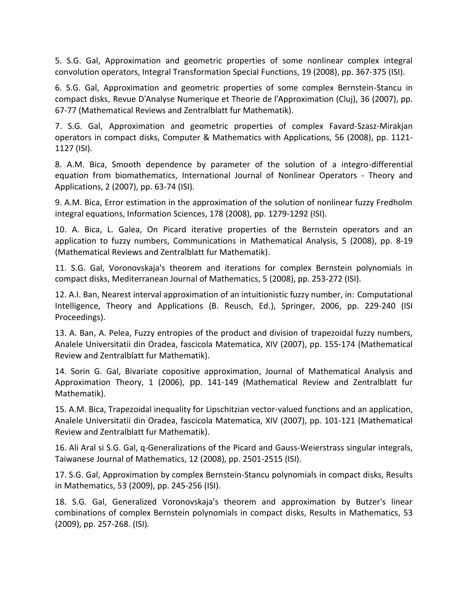5. S.G. Gal, Approximation and geometric properties of some nonlinear complex integral convolution operators, Integral Transformation Special Functions, 19 (2008), pp. 367-375 (ISI).

6. S.G. Gal, Approximation and geometric properties of some complex Bernstein-Stancu in compact disks, Revue D'Analyse Numerique et Theorie de l'Approximation (Cluj), 36 (2007), pp. 67-77 (Mathematical Reviews and Zentralblatt fur Mathematik).

7. S.G. Gal, Approximation and geometric properties of complex Favard-Szasz-Mirakjan operators in compact disks, Computer & Mathematics with Applications, 56 (2008), pp. 1121- 1127 (ISI).

8. A.M. Bica, Smooth dependence by parameter of the solution of a integro-differential equation from biomathematics, International Journal of Nonlinear Operators - Theory and Applications, 2 (2007), pp. 63-74 (ISI).

9. A.M. Bica, Error estimation in the approximation of the solution of nonlinear fuzzy Fredholm integral equations, Information Sciences, 178 (2008), pp. 1279-1292 (ISI).

10. A. Bica, L. Galea, On Picard iterative properties of the Bernstein operators and an application to fuzzy numbers, Communications in Mathematical Analysis, 5 (2008), pp. 8-19 (Mathematical Reviews and Zentralblatt fur Mathematik).

11. S.G. Gal, Voronovskaja's theorem and iterations for complex Bernstein polynomials in compact disks, Mediterranean Journal of Mathematics, 5 (2008), pp. 253-272 (ISI).

12. A.I. Ban, Nearest interval approximation of an intuitionistic fuzzy number, in: Computational Intelligence, Theory and Applications (B. Reusch, Ed.), Springer, 2006, pp. 229-240 (ISI Proceedings).

13. A. Ban, A. Pelea, Fuzzy entropies of the product and division of trapezoidal fuzzy numbers, Analele Universitatii din Oradea, fascicola Matematica, XIV (2007), pp. 155-174 (Mathematical Review and Zentralblatt fur Mathematik).

14. Sorin G. Gal, Bivariate copositive approximation, Journal of Mathematical Analysis and Approximation Theory, 1 (2006), pp. 141-149 (Mathematical Review and Zentralblatt fur Mathematik).

15. A.M. Bica, Trapezoidal inequality for Lipschitzian vector-valued functions and an application, Analele Universitatii din Oradea, fascicola Matematica, XIV (2007), pp. 101-121 (Mathematical Review and Zentralblatt fur Mathematik).

16. Ali Aral si S.G. Gal, q-Generalizations of the Picard and Gauss-Weierstrass singular integrals, Taiwanese Journal of Mathematics, 12 (2008), pp. 2501-2515 (ISI).

17. S.G. Gal, Approximation by complex Bernstein-Stancu polynomials in compact disks, Results in Mathematics, 53 (2009), pp. 245-256 (ISI).

18. S.G. Gal, Generalized Voronovskaja's theorem and approximation by Butzer's linear combinations of complex Bernstein polynomials in compact disks, Results in Mathematics, 53 (2009), pp. 257-268. (ISI).